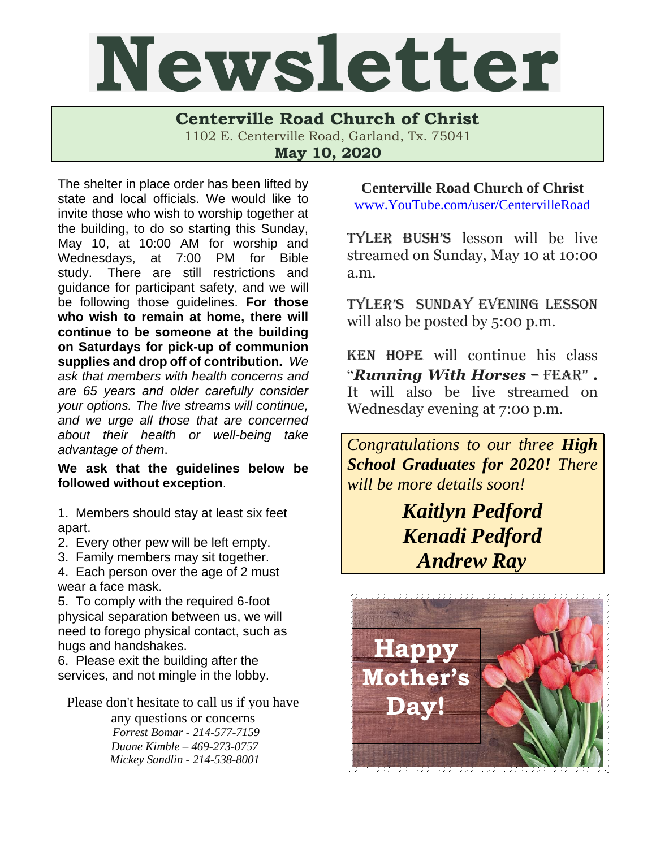## Newsletter

**Centerville Road Church of Christ**  1102 E. Centerville Road, Garland, Tx. 75041

**May 10, 2020**

The shelter in place order has been lifted by state and local officials. We would like to invite those who wish to worship together at the building, to do so starting this Sunday, May 10, at 10:00 AM for worship and Wednesdays, at 7:00 PM for Bible study. There are still restrictions and guidance for participant safety, and we will be following those guidelines. **For those who wish to remain at home, there will continue to be someone at the building on Saturdays for pick-up of communion supplies and drop off of contribution.** *We ask that members with health concerns and are 65 years and older carefully consider your options. The live streams will continue, and we urge all those that are concerned about their health or well-being take advantage of them*.

**We ask that the guidelines below be followed without exception**.

1. Members should stay at least six feet apart.

2. Every other pew will be left empty.

3. Family members may sit together.

4. Each person over the age of 2 must wear a face mask.

5. To comply with the required 6-foot physical separation between us, we will need to forego physical contact, such as hugs and handshakes.

6. Please exit the building after the services, and not mingle in the lobby.

Please don't hesitate to call us if you have

any questions or concerns  *Forrest Bomar - 214-577-7159 Duane Kimble – 469-273-0757 Mickey Sandlin - 214-538-8001* **Centerville Road Church of Christ**

[www.YouTube.com/user/CentervilleRoad](http://www.youtube.com/user/CentervilleRoad)

Tyler Bush's lesson will be live streamed on Sunday, May 10 at 10:00 a.m.

Tyler's Sunday evening lesson will also be posted by 5:00 p.m.

Ken Hope will continue his class "*Running With Horses* – Fear" **.**  It will also be live streamed on Wednesday evening at 7:00 p.m.

*Congratulations to our three High School Graduates for 2020! There will be more details soon!*

> *Kaitlyn Pedford Kenadi Pedford Andrew Ray*